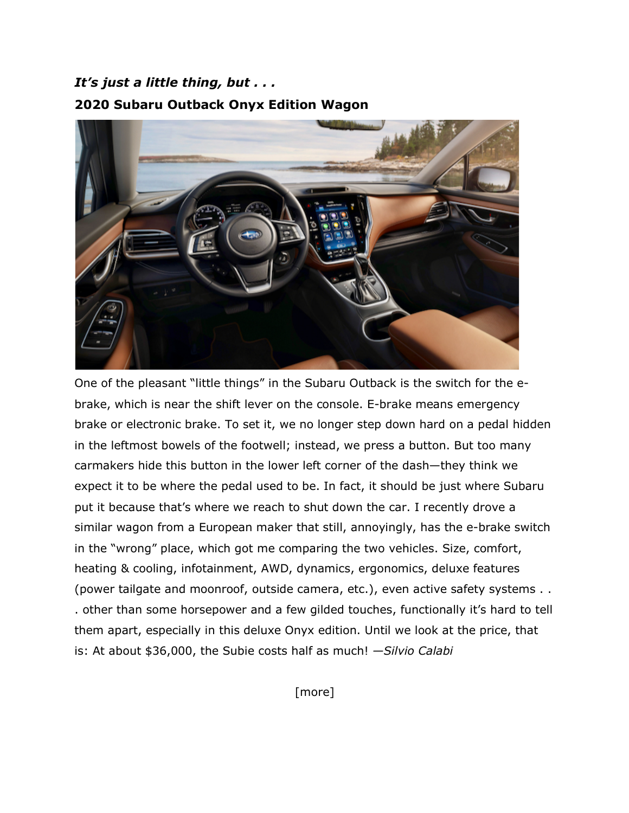## *It's just a little thing, but . . .* **2020 Subaru Outback Onyx Edition Wagon**



One of the pleasant "little things" in the Subaru Outback is the switch for the ebrake, which is near the shift lever on the console. E-brake means emergency brake or electronic brake. To set it, we no longer step down hard on a pedal hidden in the leftmost bowels of the footwell; instead, we press a button. But too many carmakers hide this button in the lower left corner of the dash—they think we expect it to be where the pedal used to be. In fact, it should be just where Subaru put it because that's where we reach to shut down the car. I recently drove a similar wagon from a European maker that still, annoyingly, has the e-brake switch in the "wrong" place, which got me comparing the two vehicles. Size, comfort, heating & cooling, infotainment, AWD, dynamics, ergonomics, deluxe features (power tailgate and moonroof, outside camera, etc.), even active safety systems . . . other than some horsepower and a few gilded touches, functionally it's hard to tell them apart, especially in this deluxe Onyx edition. Until we look at the price, that is: At about \$36,000, the Subie costs half as much! *—Silvio Calabi*

[more]